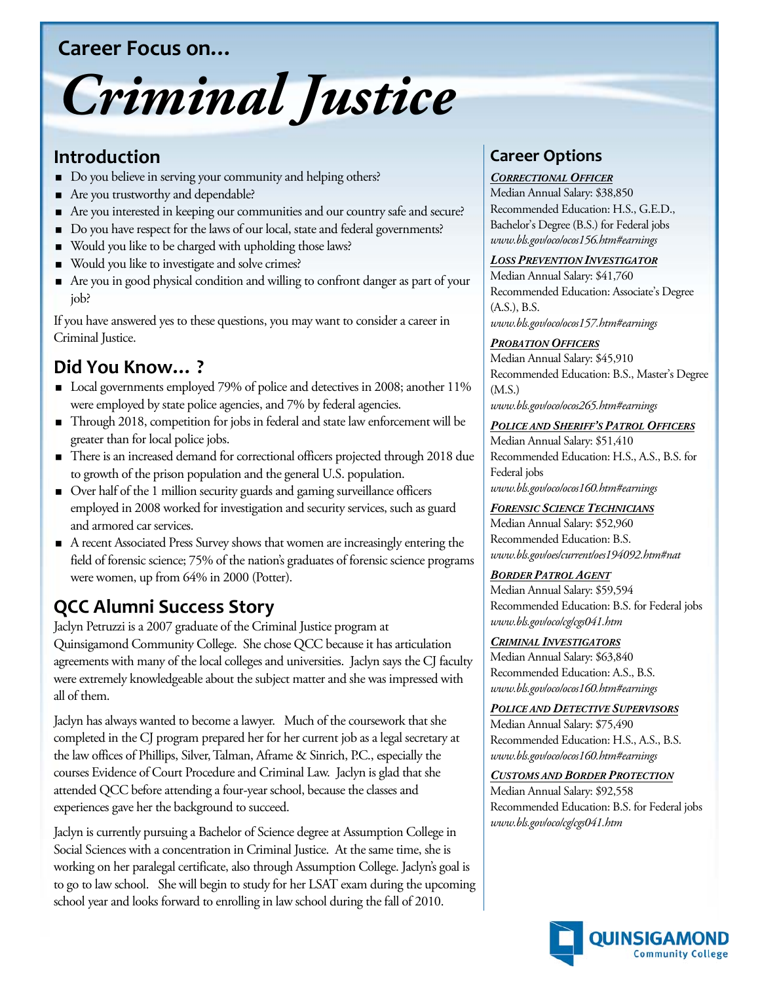## **Career Focus on…**

# *Criminal Justice*

# **Introduction**

- Do you believe in serving your community and helping others?
- Are you trustworthy and dependable?
- Are you interested in keeping our communities and our country safe and secure?
- Do you have respect for the laws of our local, state and federal governments?
- Would you like to be charged with upholding those laws?
- Would you like to investigate and solve crimes?
- Are you in good physical condition and willing to confront danger as part of your job?

If you have answered yes to these questions, you may want to consider a career in Criminal Justice.

# **Did You Know… ?**

- Local governments employed 79% of police and detectives in 2008; another 11% were employed by state police agencies, and 7% by federal agencies.
- Through 2018, competition for jobs in federal and state law enforcement will be greater than for local police jobs.
- There is an increased demand for correctional officers projected through 2018 due to growth of the prison population and the general U.S. population.
- Over half of the 1 million security guards and gaming surveillance officers employed in 2008 worked for investigation and security services, such as guard and armored car services.
- A recent Associated Press Survey shows that women are increasingly entering the field of forensic science; 75% of the nation's graduates of forensic science programs were women, up from 64% in 2000 (Potter).

# **QCC Alumni Success Story**

Jaclyn Petruzzi is a 2007 graduate of the Criminal Justice program at Quinsigamond Community College. She chose QCC because it has articulation agreements with many of the local colleges and universities. Jaclyn says the CJ faculty were extremely knowledgeable about the subject matter and she was impressed with all of them.

Jaclyn has always wanted to become a lawyer. Much of the coursework that she completed in the CJ program prepared her for her current job as a legal secretary at the law offices of Phillips, Silver, Talman, Aframe & Sinrich, P.C., especially the courses Evidence of Court Procedure and Criminal Law. Jaclyn is glad that she attended QCC before attending a four-year school, because the classes and experiences gave her the background to succeed.

Jaclyn is currently pursuing a Bachelor of Science degree at Assumption College in Social Sciences with a concentration in Criminal Justice. At the same time, she is working on her paralegal certificate, also through Assumption College. Jaclyn's goal is to go to law school. She will begin to study for her LSAT exam during the upcoming school year and looks forward to enrolling in law school during the fall of 2010.

# **Career Options**

#### *CORRECTIONAL OFFICER*

Median Annual Salary: \$38,850 Recommended Education: H.S., G.E.D., Bachelor's Degree (B.S.) for Federal jobs *www.bls.gov/oco/ocos156.htm#earnings*

#### *LOSS PREVENTION INVESTIGATOR*

Median Annual Salary: \$41,760 Recommended Education: Associate's Degree (A.S.), B.S.

*www.bls.gov/oco/ocos157.htm#earnings* 

#### *PROBATION OFFICERS*

Median Annual Salary: \$45,910 Recommended Education: B.S., Master's Degree (M.S.) *www.bls.gov/oco/ocos265.htm#earnings*

#### *POLICE AND SHERIFF'S PATROL OFFICERS*

Median Annual Salary: \$51,410 Recommended Education: H.S., A.S., B.S. for Federal jobs *www.bls.gov/oco/ocos160.htm#earnings*

#### *FORENSIC SCIENCE TECHNICIANS*

Median Annual Salary: \$52,960 Recommended Education: B.S. *www.bls.gov/oes/current/oes194092.htm#nat*

Median Annual Salary: \$59,594 *BORDER PATROL AGENT* Recommended Education: B.S. for Federal jobs *www.bls.gov/oco/cg/cgs041.htm*

# *CRIMINAL INVESTIGATORS*

Median Annual Salary: \$63,840 Recommended Education: A.S., B.S. *www.bls.gov/oco/ocos160.htm#earnings*

#### *POLICE AND DETECTIVE SUPERVISORS*

Median Annual Salary: \$75,490 Recommended Education: H.S., A.S., B.S. *www.bls.gov/oco/ocos160.htm#earnings* 

#### Median Annual Salary: \$92,558 *CUSTOMS AND BORDER PROTECTION*

Recommended Education: B.S. for Federal jobs *www.bls.gov/oco/cg/cgs041.htm*